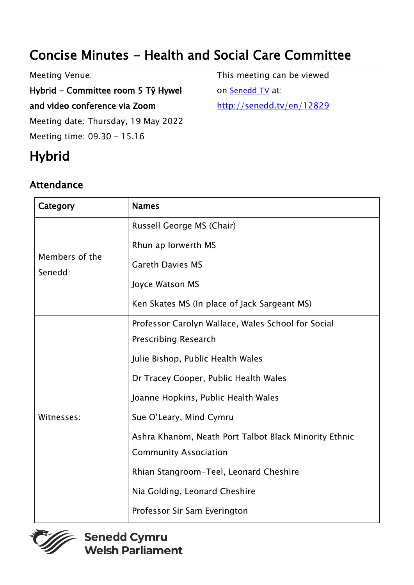# Concise Minutes - Health and Social Care Committee

Meeting Venue:

#### Hybrid - Committee room 5 Tŷ Hywel

and video conference via Zoom

Meeting date: Thursday, 19 May 2022

Meeting time: 09.30 - 15.16

# **Hybrid**

#### Attendance

This meeting can be viewed on [Senedd TV](http://senedd.tv/) at: http://senedd.tv/en/12829

| Category                  | <b>Names</b>                                          |
|---------------------------|-------------------------------------------------------|
| Members of the<br>Senedd: | Russell George MS (Chair)                             |
|                           | Rhun ap Iorwerth MS                                   |
|                           | <b>Gareth Davies MS</b>                               |
|                           | Joyce Watson MS                                       |
|                           | Ken Skates MS (In place of Jack Sargeant MS)          |
| Witnesses:                | Professor Carolyn Wallace, Wales School for Social    |
|                           | <b>Prescribing Research</b>                           |
|                           | Julie Bishop, Public Health Wales                     |
|                           | Dr Tracey Cooper, Public Health Wales                 |
|                           | Joanne Hopkins, Public Health Wales                   |
|                           | Sue O'Leary, Mind Cymru                               |
|                           | Ashra Khanom, Neath Port Talbot Black Minority Ethnic |
|                           | <b>Community Association</b>                          |
|                           | Rhian Stangroom-Teel, Leonard Cheshire                |
|                           | Nia Golding, Leonard Cheshire                         |
|                           | Professor Sir Sam Everington                          |



**Senedd Cymru Welsh Parliament**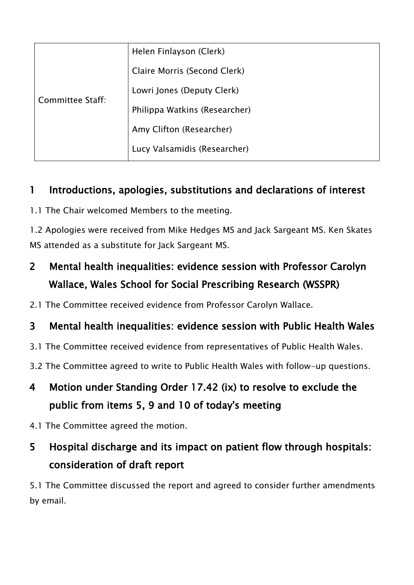| Committee Staff: | Helen Finlayson (Clerk)       |
|------------------|-------------------------------|
|                  | Claire Morris (Second Clerk)  |
|                  | Lowri Jones (Deputy Clerk)    |
|                  | Philippa Watkins (Researcher) |
|                  | Amy Clifton (Researcher)      |
|                  | Lucy Valsamidis (Researcher)  |

#### 1 Introductions, apologies, substitutions and declarations of interest

1.1 The Chair welcomed Members to the meeting.

1.2 Apologies were received from Mike Hedges MS and Jack Sargeant MS. Ken Skates MS attended as a substitute for Jack Sargeant MS.

### 2 Mental health inequalities: evidence session with Professor Carolyn Wallace, Wales School for Social Prescribing Research (WSSPR)

2.1 The Committee received evidence from Professor Carolyn Wallace.

#### 3 Mental health inequalities: evidence session with Public Health Wales

- 3.1 The Committee received evidence from representatives of Public Health Wales.
- 3.2 The Committee agreed to write to Public Health Wales with follow-up questions.
- 4 Motion under Standing Order 17.42 (ix) to resolve to exclude the public from items 5, 9 and 10 of today's meeting
- 4.1 The Committee agreed the motion.

### 5 Hospital discharge and its impact on patient flow through hospitals: consideration of draft report

5.1 The Committee discussed the report and agreed to consider further amendments by email.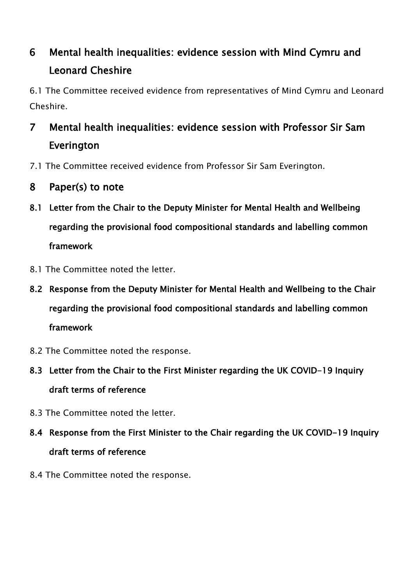## 6 Mental health inequalities: evidence session with Mind Cymru and Leonard Cheshire

6.1 The Committee received evidence from representatives of Mind Cymru and Leonard Cheshire.

## 7 Mental health inequalities: evidence session with Professor Sir Sam Everington

- 7.1 The Committee received evidence from Professor Sir Sam Everington.
- 8 Paper(s) to note
- 8.1 Letter from the Chair to the Deputy Minister for Mental Health and Wellbeing regarding the provisional food compositional standards and labelling common framework
- 8.1 The Committee noted the letter.
- 8.2 Response from the Deputy Minister for Mental Health and Wellbeing to the Chair regarding the provisional food compositional standards and labelling common framework
- 8.2 The Committee noted the response.
- 8.3 Letter from the Chair to the First Minister regarding the UK COVID-19 Inquiry draft terms of reference
- 8.3 The Committee noted the letter.
- 8.4 Response from the First Minister to the Chair regarding the UK COVID-19 Inquiry draft terms of reference
- 8.4 The Committee noted the response.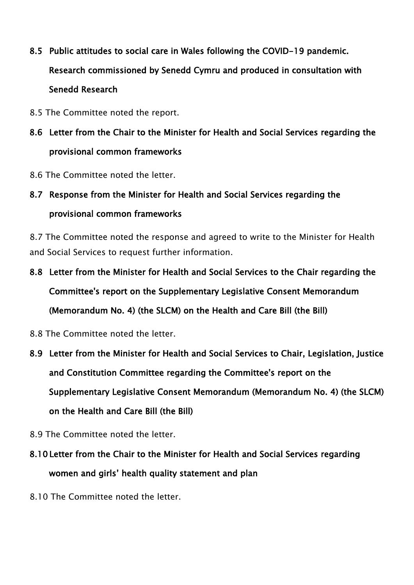- 8.5 Public attitudes to social care in Wales following the COVID-19 pandemic. Research commissioned by Senedd Cymru and produced in consultation with Senedd Research
- 8.5 The Committee noted the report.
- 8.6 Letter from the Chair to the Minister for Health and Social Services regarding the provisional common frameworks
- 8.6 The Committee noted the letter.

### 8.7 Response from the Minister for Health and Social Services regarding the provisional common frameworks

8.7 The Committee noted the response and agreed to write to the Minister for Health and Social Services to request further information.

- 8.8 Letter from the Minister for Health and Social Services to the Chair regarding the Committee's report on the Supplementary Legislative Consent Memorandum (Memorandum No. 4) (the SLCM) on the Health and Care Bill (the Bill)
- 8.8 The Committee noted the letter.
- 8.9 Letter from the Minister for Health and Social Services to Chair, Legislation, Justice and Constitution Committee regarding the Committee's report on the Supplementary Legislative Consent Memorandum (Memorandum No. 4) (the SLCM) on the Health and Care Bill (the Bill)
- 8.9 The Committee noted the letter.
- 8.10 Letter from the Chair to the Minister for Health and Social Services regarding women and girls' health quality statement and plan
- 8.10 The Committee noted the letter.